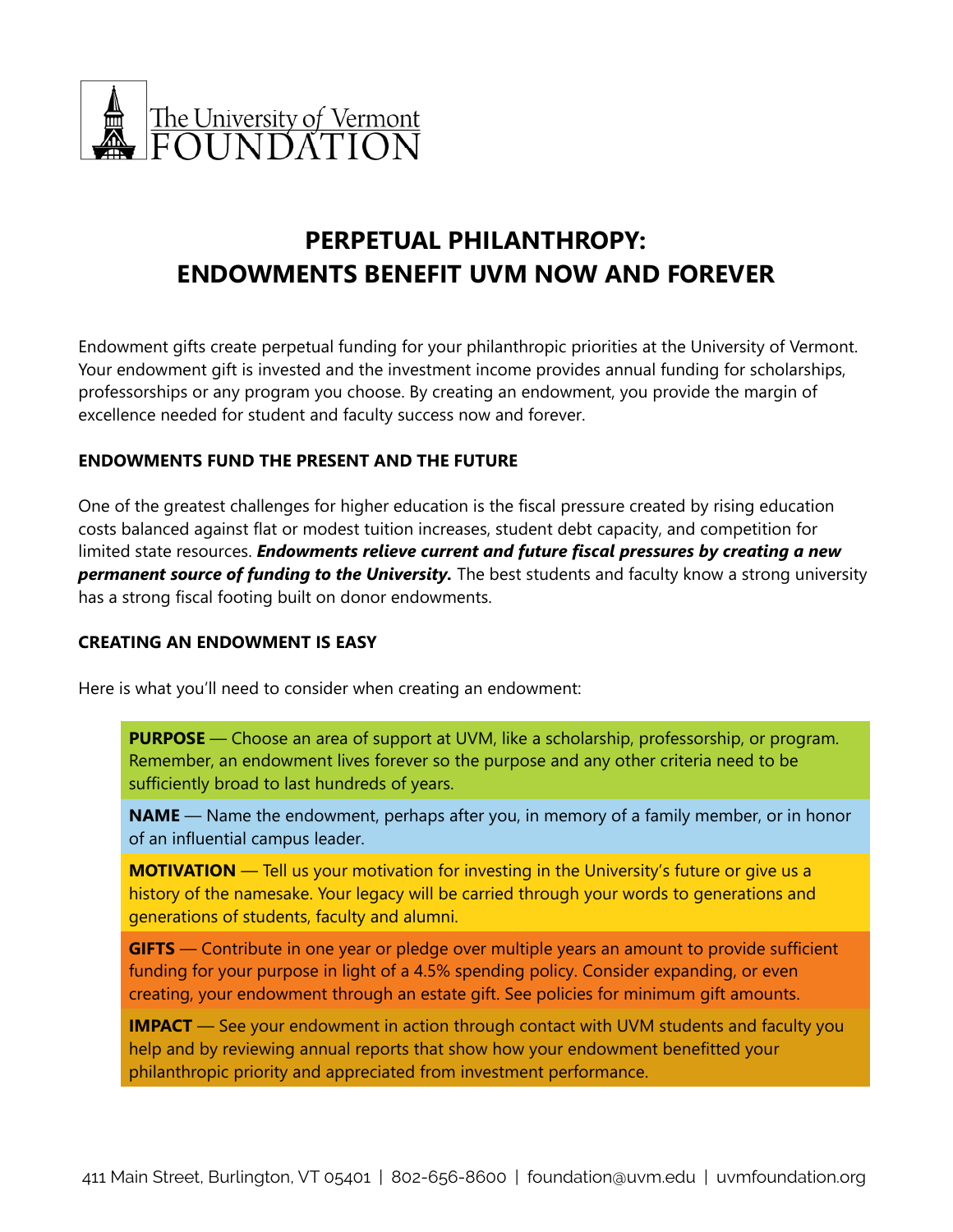

# **PERPETUAL PHILANTHROPY: ENDOWMENTS BENEFIT UVM NOW AND FOREVER**

Endowment gifts create perpetual funding for your philanthropic priorities at the University of Vermont. Your endowment gift is invested and the investment income provides annual funding for scholarships, professorships or any program you choose. By creating an endowment, you provide the margin of excellence needed for student and faculty success now and forever.

# **ENDOWMENTS FUND THE PRESENT AND THE FUTURE**

One of the greatest challenges for higher education is the fiscal pressure created by rising education costs balanced against flat or modest tuition increases, student debt capacity, and competition for limited state resources. *Endowments relieve current and future fiscal pressures by creating a new permanent source of funding to the University.* The best students and faculty know a strong university has a strong fiscal footing built on donor endowments.

# **CREATING AN ENDOWMENT IS EASY**

Here is what you'll need to consider when creating an endowment:

**PURPOSE** — Choose an area of support at UVM, like a scholarship, professorship, or program. Remember, an endowment lives forever so the purpose and any other criteria need to be sufficiently broad to last hundreds of years.

**NAME** — Name the endowment, perhaps after you, in memory of a family member, or in honor of an influential campus leader.

**MOTIVATION** — Tell us your motivation for investing in the University's future or give us a history of the namesake. Your legacy will be carried through your words to generations and generations of students, faculty and alumni.

**GIFTS** — Contribute in one year or pledge over multiple years an amount to provide sufficient funding for your purpose in light of a 4.5% spending policy. Consider expanding, or even creating, your endowment through an estate gift. See policies for minimum gift amounts.

**IMPACT** — See your endowment in action through contact with UVM students and faculty you help and by reviewing annual reports that show how your endowment benefitted your philanthropic priority and appreciated from investment performance.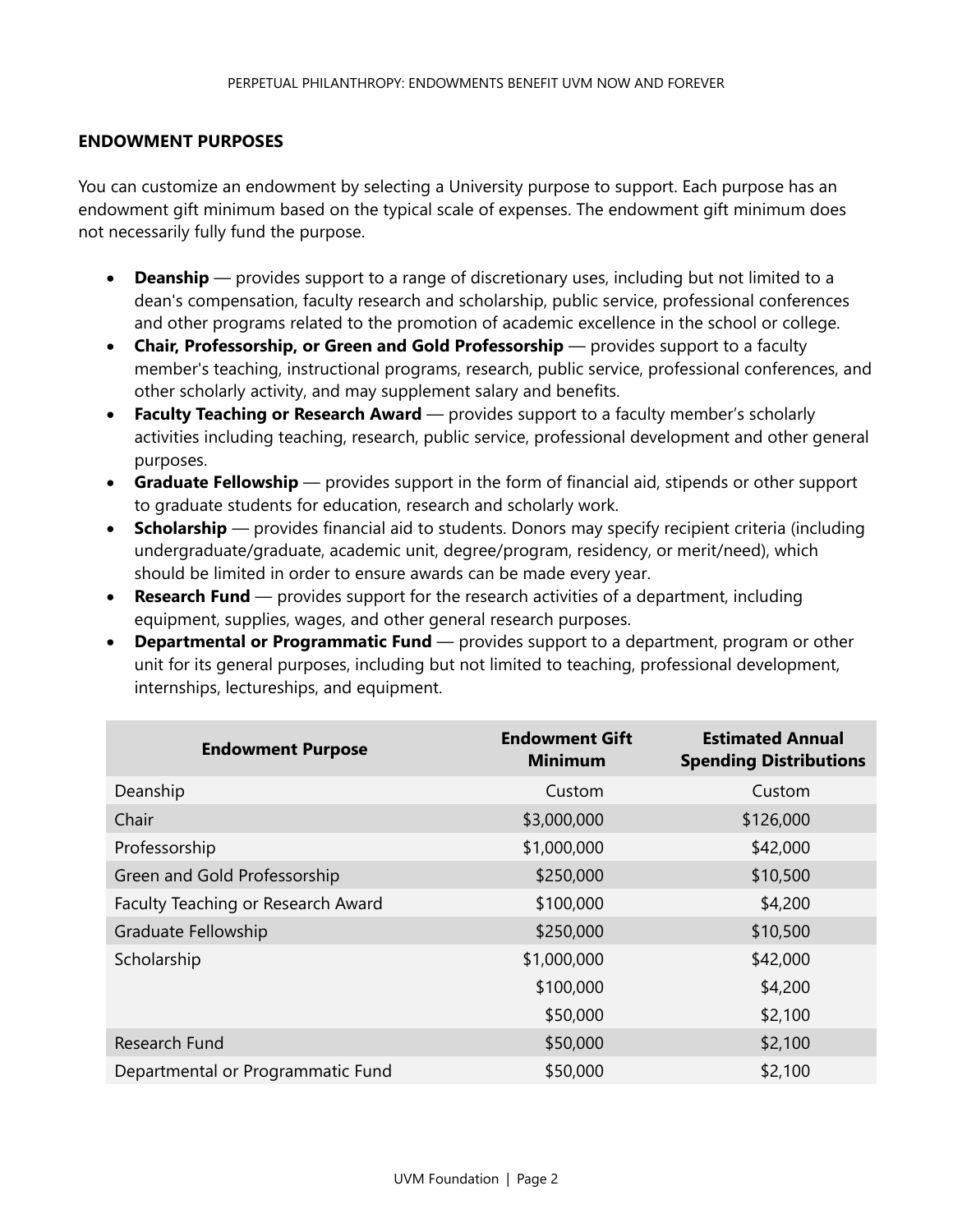#### **ENDOWMENT PURPOSES**

You can customize an endowment by selecting a University purpose to support. Each purpose has an endowment gift minimum based on the typical scale of expenses. The endowment gift minimum does not necessarily fully fund the purpose.

- **Deanship** provides support to a range of discretionary uses, including but not limited to a dean's compensation, faculty research and scholarship, public service, professional conferences and other programs related to the promotion of academic excellence in the school or college.
- **Chair, Professorship, or Green and Gold Professorship** provides support to a faculty member's teaching, instructional programs, research, public service, professional conferences, and other scholarly activity, and may supplement salary and benefits.
- **Faculty Teaching or Research Award** provides support to a faculty member's scholarly activities including teaching, research, public service, professional development and other general purposes.
- **Graduate Fellowship** provides support in the form of financial aid, stipends or other support to graduate students for education, research and scholarly work.
- **Scholarship** provides financial aid to students. Donors may specify recipient criteria (including undergraduate/graduate, academic unit, degree/program, residency, or merit/need), which should be limited in order to ensure awards can be made every year.
- **Research Fund** provides support for the research activities of a department, including equipment, supplies, wages, and other general research purposes.
- **Departmental or Programmatic Fund** provides support to a department, program or other unit for its general purposes, including but not limited to teaching, professional development, internships, lectureships, and equipment.

| <b>Endowment Purpose</b>           | <b>Endowment Gift</b><br><b>Minimum</b> | <b>Estimated Annual</b><br><b>Spending Distributions</b> |
|------------------------------------|-----------------------------------------|----------------------------------------------------------|
| Deanship                           | Custom                                  | Custom                                                   |
| Chair                              | \$3,000,000                             | \$126,000                                                |
| Professorship                      | \$1,000,000                             | \$42,000                                                 |
| Green and Gold Professorship       | \$250,000                               | \$10,500                                                 |
| Faculty Teaching or Research Award | \$100,000                               | \$4,200                                                  |
| Graduate Fellowship                | \$250,000                               | \$10,500                                                 |
| Scholarship                        | \$1,000,000                             | \$42,000                                                 |
|                                    | \$100,000                               | \$4,200                                                  |
|                                    | \$50,000                                | \$2,100                                                  |
| Research Fund                      | \$50,000                                | \$2,100                                                  |
| Departmental or Programmatic Fund  | \$50,000                                | \$2,100                                                  |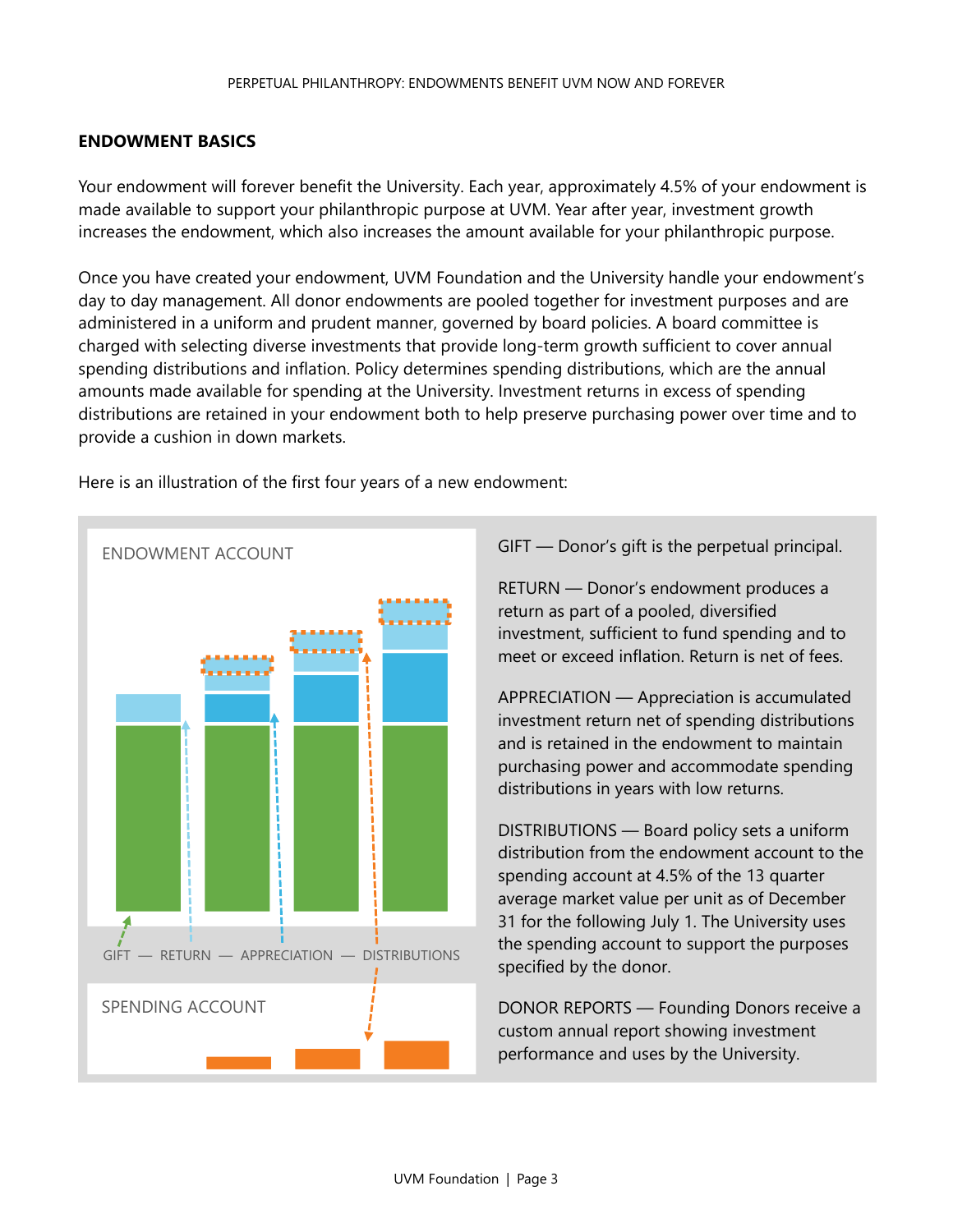# **ENDOWMENT BASICS**

Your endowment will forever benefit the University. Each year, approximately 4.5% of your endowment is made available to support your philanthropic purpose at UVM. Year after year, investment growth increases the endowment, which also increases the amount available for your philanthropic purpose.

Once you have created your endowment, UVM Foundation and the University handle your endowment's day to day management. All donor endowments are pooled together for investment purposes and are administered in a uniform and prudent manner, governed by board policies. A board committee is charged with selecting diverse investments that provide long-term growth sufficient to cover annual spending distributions and inflation. Policy determines spending distributions, which are the annual amounts made available for spending at the University. Investment returns in excess of spending distributions are retained in your endowment both to help preserve purchasing power over time and to provide a cushion in down markets.



Here is an illustration of the first four years of a new endowment:

GIFT — Donor's gift is the perpetual principal.

RETURN — Donor's endowment produces a return as part of a pooled, diversified investment, sufficient to fund spending and to meet or exceed inflation. Return is net of fees.

APPRECIATION — Appreciation is accumulated investment return net of spending distributions and is retained in the endowment to maintain purchasing power and accommodate spending distributions in years with low returns.

DISTRIBUTIONS — Board policy sets a uniform distribution from the endowment account to the spending account at 4.5% of the 13 quarter average market value per unit as of December 31 for the following July 1. The University uses the spending account to support the purposes specified by the donor.

DONOR REPORTS — Founding Donors receive a custom annual report showing investment performance and uses by the University.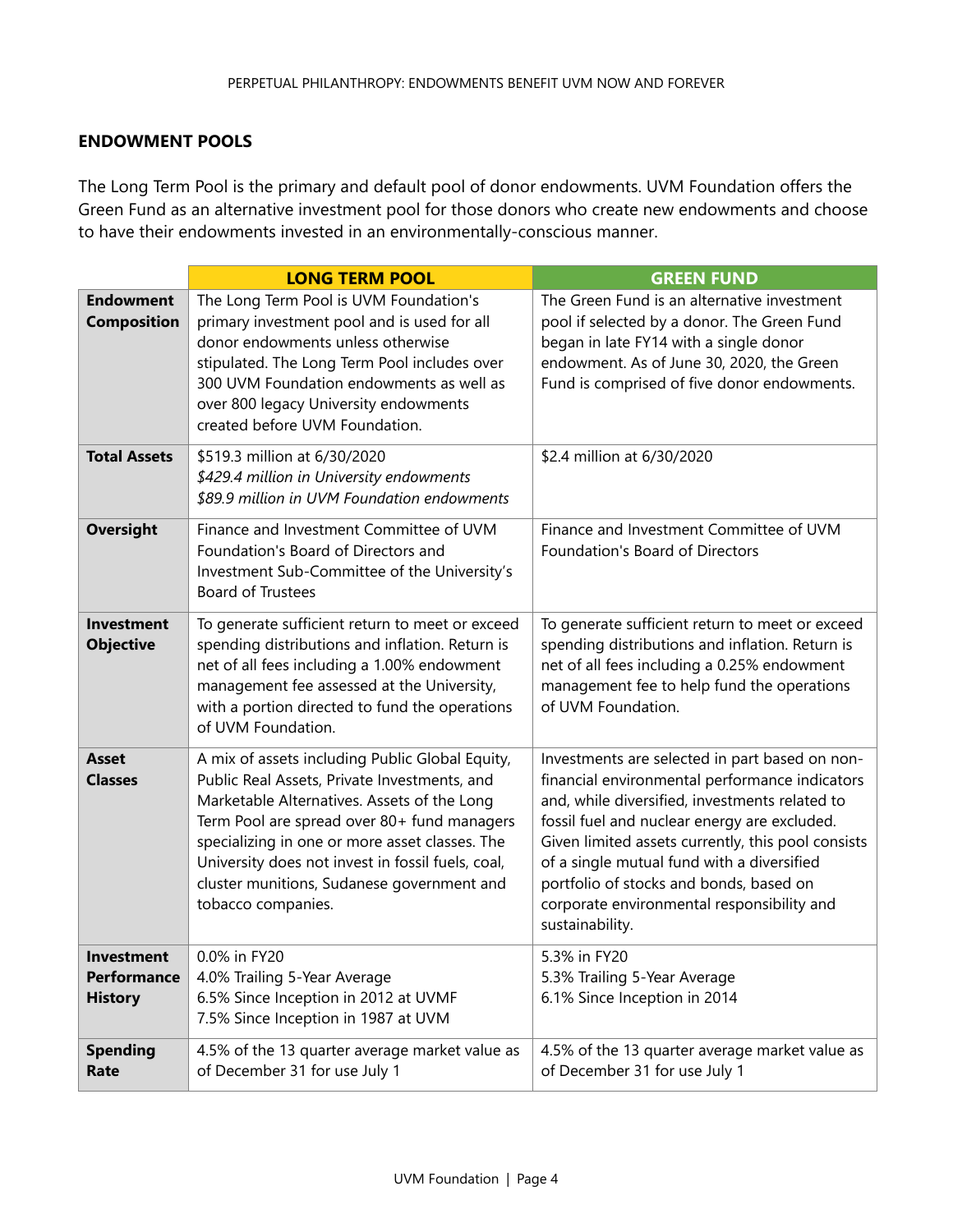# **ENDOWMENT POOLS**

The Long Term Pool is the primary and default pool of donor endowments. UVM Foundation offers the Green Fund as an alternative investment pool for those donors who create new endowments and choose to have their endowments invested in an environmentally-conscious manner.

|                                                           | <b>LONG TERM POOL</b>                                                                                                                                                                                                                                                                                                                                                    | <b>GREEN FUND</b>                                                                                                                                                                                                                                                                                                                                                                                                  |
|-----------------------------------------------------------|--------------------------------------------------------------------------------------------------------------------------------------------------------------------------------------------------------------------------------------------------------------------------------------------------------------------------------------------------------------------------|--------------------------------------------------------------------------------------------------------------------------------------------------------------------------------------------------------------------------------------------------------------------------------------------------------------------------------------------------------------------------------------------------------------------|
| <b>Endowment</b><br><b>Composition</b>                    | The Long Term Pool is UVM Foundation's<br>primary investment pool and is used for all<br>donor endowments unless otherwise<br>stipulated. The Long Term Pool includes over<br>300 UVM Foundation endowments as well as<br>over 800 legacy University endowments<br>created before UVM Foundation.                                                                        | The Green Fund is an alternative investment<br>pool if selected by a donor. The Green Fund<br>began in late FY14 with a single donor<br>endowment. As of June 30, 2020, the Green<br>Fund is comprised of five donor endowments.                                                                                                                                                                                   |
| <b>Total Assets</b>                                       | \$519.3 million at 6/30/2020<br>\$429.4 million in University endowments<br>\$89.9 million in UVM Foundation endowments                                                                                                                                                                                                                                                  | \$2.4 million at 6/30/2020                                                                                                                                                                                                                                                                                                                                                                                         |
| <b>Oversight</b>                                          | Finance and Investment Committee of UVM<br>Foundation's Board of Directors and<br>Investment Sub-Committee of the University's<br><b>Board of Trustees</b>                                                                                                                                                                                                               | Finance and Investment Committee of UVM<br>Foundation's Board of Directors                                                                                                                                                                                                                                                                                                                                         |
| <b>Investment</b><br><b>Objective</b>                     | To generate sufficient return to meet or exceed<br>spending distributions and inflation. Return is<br>net of all fees including a 1.00% endowment<br>management fee assessed at the University,<br>with a portion directed to fund the operations<br>of UVM Foundation.                                                                                                  | To generate sufficient return to meet or exceed<br>spending distributions and inflation. Return is<br>net of all fees including a 0.25% endowment<br>management fee to help fund the operations<br>of UVM Foundation.                                                                                                                                                                                              |
| <b>Asset</b><br><b>Classes</b>                            | A mix of assets including Public Global Equity,<br>Public Real Assets, Private Investments, and<br>Marketable Alternatives. Assets of the Long<br>Term Pool are spread over 80+ fund managers<br>specializing in one or more asset classes. The<br>University does not invest in fossil fuels, coal,<br>cluster munitions, Sudanese government and<br>tobacco companies. | Investments are selected in part based on non-<br>financial environmental performance indicators<br>and, while diversified, investments related to<br>fossil fuel and nuclear energy are excluded.<br>Given limited assets currently, this pool consists<br>of a single mutual fund with a diversified<br>portfolio of stocks and bonds, based on<br>corporate environmental responsibility and<br>sustainability. |
| <b>Investment</b><br><b>Performance</b><br><b>History</b> | 0.0% in FY20<br>4.0% Trailing 5-Year Average<br>6.5% Since Inception in 2012 at UVMF<br>7.5% Since Inception in 1987 at UVM                                                                                                                                                                                                                                              | 5.3% in FY20<br>5.3% Trailing 5-Year Average<br>6.1% Since Inception in 2014                                                                                                                                                                                                                                                                                                                                       |
| <b>Spending</b><br>Rate                                   | 4.5% of the 13 quarter average market value as<br>of December 31 for use July 1                                                                                                                                                                                                                                                                                          | 4.5% of the 13 quarter average market value as<br>of December 31 for use July 1                                                                                                                                                                                                                                                                                                                                    |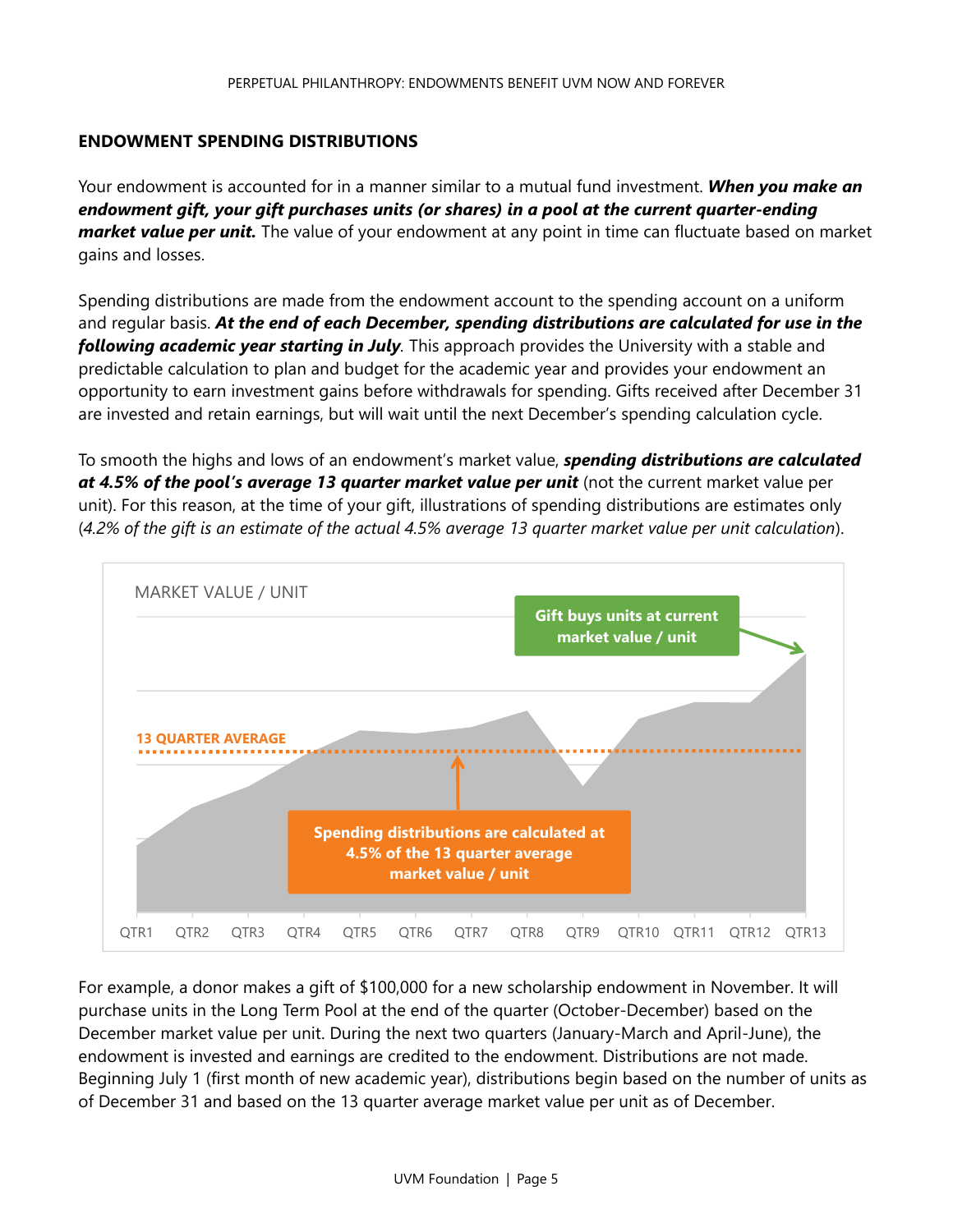# **ENDOWMENT SPENDING DISTRIBUTIONS**

Your endowment is accounted for in a manner similar to a mutual fund investment. *When you make an endowment gift, your gift purchases units (or shares) in a pool at the current quarter-ending market value per unit.* The value of your endowment at any point in time can fluctuate based on market gains and losses.

Spending distributions are made from the endowment account to the spending account on a uniform and regular basis. *At the end of each December, spending distributions are calculated for use in the following academic year starting in July.* This approach provides the University with a stable and predictable calculation to plan and budget for the academic year and provides your endowment an opportunity to earn investment gains before withdrawals for spending. Gifts received after December 31 are invested and retain earnings, but will wait until the next December's spending calculation cycle.

To smooth the highs and lows of an endowment's market value, *spending distributions are calculated at 4.5% of the pool's average 13 quarter market value per unit* (not the current market value per unit). For this reason, at the time of your gift, illustrations of spending distributions are estimates only (*4.2% of the gift is an estimate of the actual 4.5% average 13 quarter market value per unit calculation*).



For example, a donor makes a gift of \$100,000 for a new scholarship endowment in November. It will purchase units in the Long Term Pool at the end of the quarter (October-December) based on the December market value per unit. During the next two quarters (January-March and April-June), the endowment is invested and earnings are credited to the endowment. Distributions are not made. Beginning July 1 (first month of new academic year), distributions begin based on the number of units as of December 31 and based on the 13 quarter average market value per unit as of December.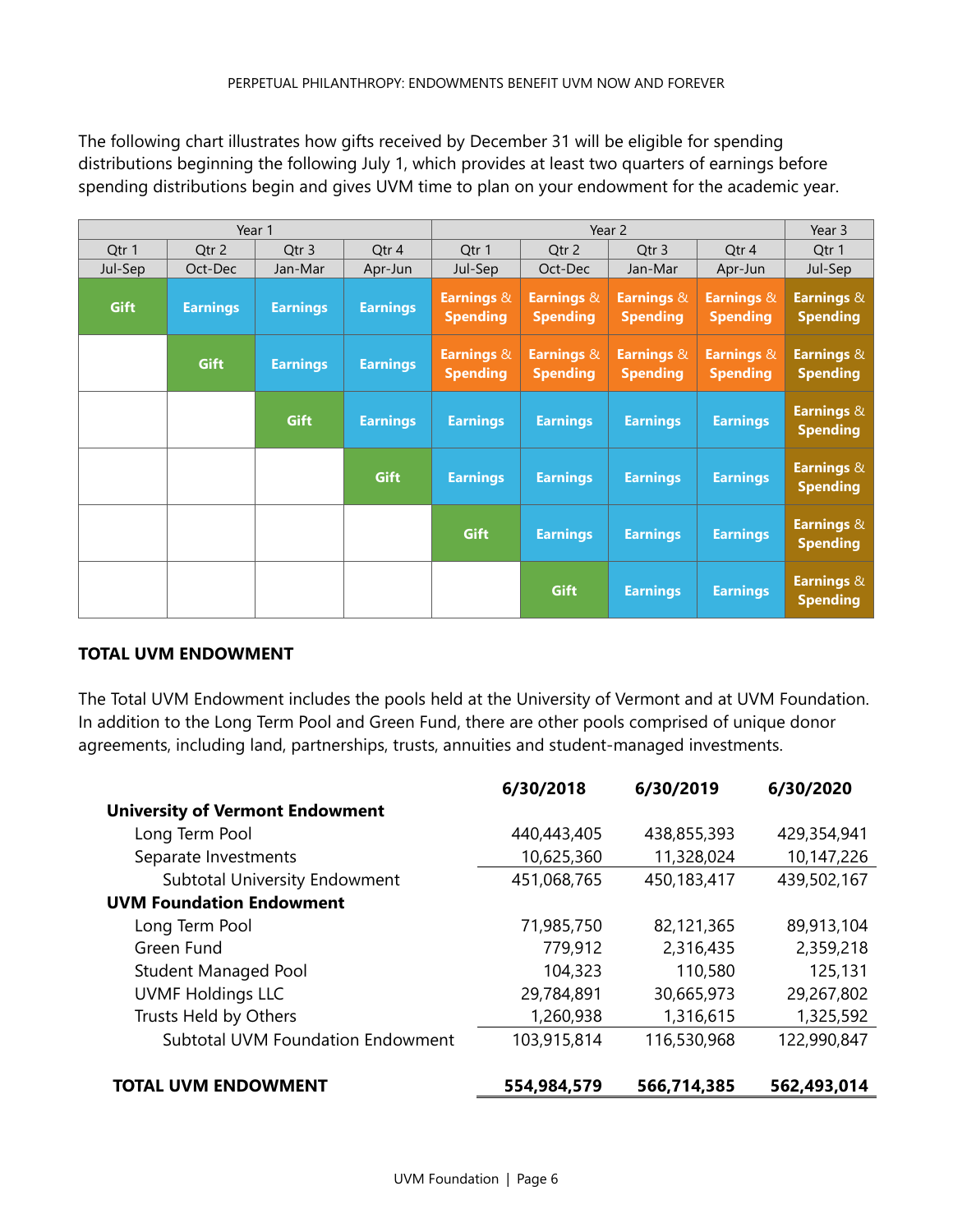The following chart illustrates how gifts received by December 31 will be eligible for spending distributions beginning the following July 1, which provides at least two quarters of earnings before spending distributions begin and gives UVM time to plan on your endowment for the academic year.

| Year 1  |                 |                 |                 | Year 2                                   |                               |                               | Year 3                                   |                                          |
|---------|-----------------|-----------------|-----------------|------------------------------------------|-------------------------------|-------------------------------|------------------------------------------|------------------------------------------|
| Qtr 1   | Qtr 2           | Qtr 3           | Qtr 4           | Qtr 1                                    | Qtr 2                         | Qtr 3                         | Qtr 4                                    | Qtr 1                                    |
| Jul-Sep | Oct-Dec         | Jan-Mar         | Apr-Jun         | Jul-Sep                                  | Oct-Dec                       | Jan-Mar                       | Apr-Jun                                  | Jul-Sep                                  |
| Gift    | <b>Earnings</b> | <b>Earnings</b> | <b>Earnings</b> | <b>Earnings &amp;</b><br><b>Spending</b> | Earnings &<br><b>Spending</b> | Earnings &<br><b>Spending</b> | <b>Earnings &amp;</b><br><b>Spending</b> | Earnings &<br><b>Spending</b>            |
|         | Gift            | <b>Earnings</b> | <b>Earnings</b> | Earnings &<br><b>Spending</b>            | Earnings &<br><b>Spending</b> | Earnings &<br><b>Spending</b> | <b>Earnings &amp;</b><br><b>Spending</b> | <b>Earnings &amp;</b><br><b>Spending</b> |
|         |                 | Gift            | <b>Earnings</b> | <b>Earnings</b>                          | <b>Earnings</b>               | <b>Earnings</b>               | <b>Earnings</b>                          | Earnings &<br><b>Spending</b>            |
|         |                 |                 | Gift            | <b>Earnings</b>                          | <b>Earnings</b>               | <b>Earnings</b>               | <b>Earnings</b>                          | Earnings &<br><b>Spending</b>            |
|         |                 |                 |                 | Gift                                     | <b>Earnings</b>               | <b>Earnings</b>               | <b>Earnings</b>                          | Earnings &<br><b>Spending</b>            |
|         |                 |                 |                 |                                          | Gift                          | <b>Earnings</b>               | <b>Earnings</b>                          | <b>Earnings &amp;</b><br><b>Spending</b> |

# **TOTAL UVM ENDOWMENT**

The Total UVM Endowment includes the pools held at the University of Vermont and at UVM Foundation. In addition to the Long Term Pool and Green Fund, there are other pools comprised of unique donor agreements, including land, partnerships, trusts, annuities and student-managed investments.

|                                          | 6/30/2018   | 6/30/2019   | 6/30/2020   |
|------------------------------------------|-------------|-------------|-------------|
| <b>University of Vermont Endowment</b>   |             |             |             |
| Long Term Pool                           | 440,443,405 | 438,855,393 | 429,354,941 |
| Separate Investments                     | 10,625,360  | 11,328,024  | 10,147,226  |
| Subtotal University Endowment            | 451,068,765 | 450,183,417 | 439,502,167 |
| <b>UVM Foundation Endowment</b>          |             |             |             |
| Long Term Pool                           | 71,985,750  | 82,121,365  | 89,913,104  |
| Green Fund                               | 779,912     | 2,316,435   | 2,359,218   |
| <b>Student Managed Pool</b>              | 104,323     | 110,580     | 125,131     |
| <b>UVMF Holdings LLC</b>                 | 29,784,891  | 30,665,973  | 29,267,802  |
| Trusts Held by Others                    | 1,260,938   | 1,316,615   | 1,325,592   |
| <b>Subtotal UVM Foundation Endowment</b> | 103,915,814 | 116,530,968 | 122,990,847 |
| <b>TOTAL UVM ENDOWMENT</b>               | 554,984,579 | 566,714,385 | 562,493,014 |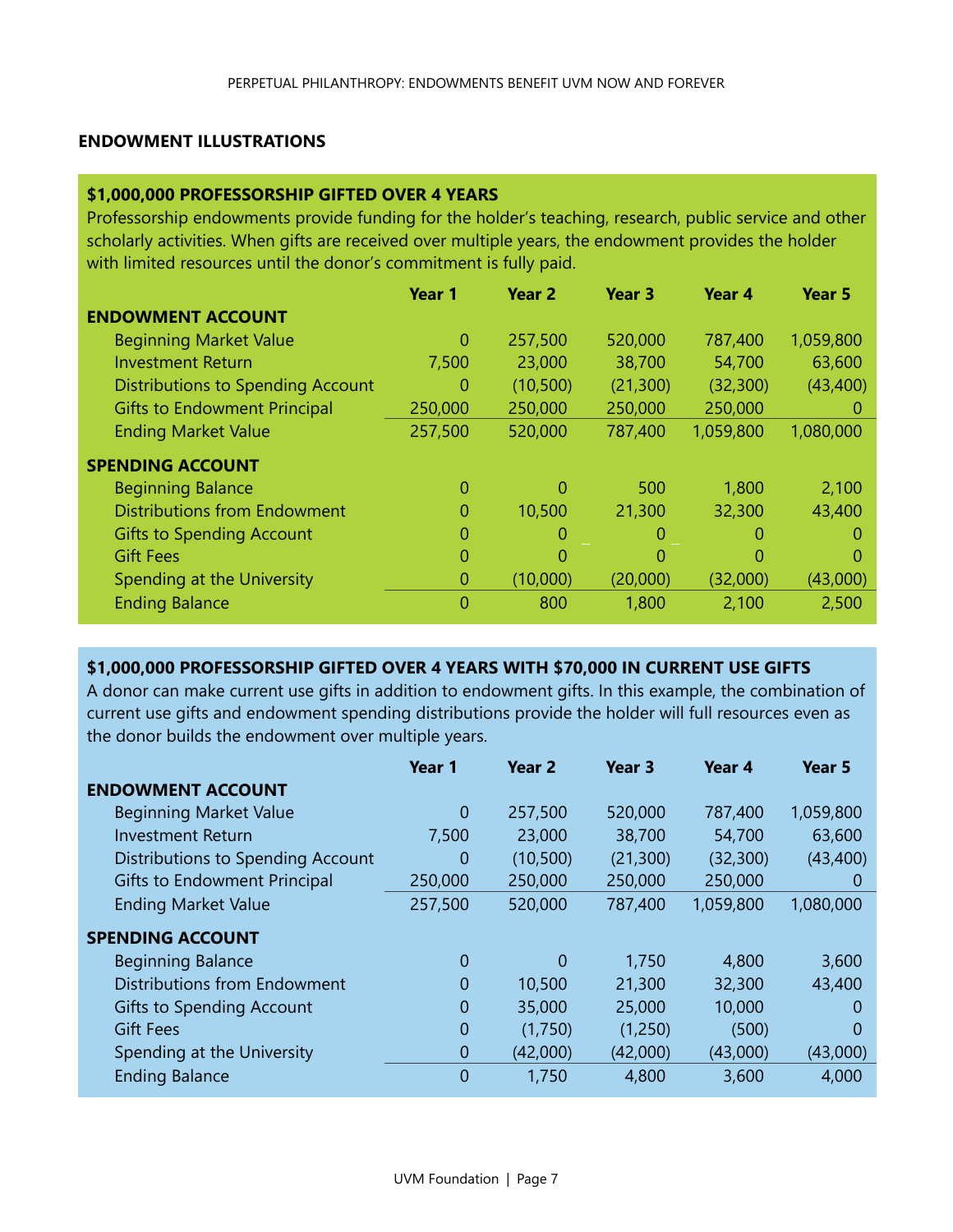#### **ENDOWMENT ILLUSTRATIONS**

#### **\$1,000,000 PROFESSORSHIP GIFTED OVER 4 YEARS**

Professorship endowments provide funding for the holder's teaching, research, public service and other scholarly activities. When gifts are received over multiple years, the endowment provides the holder with limited resources until the donor's commitment is fully paid.

|                                          | Year 1  | Year 2    | Year 3    | Year 4    | Year 5    |
|------------------------------------------|---------|-----------|-----------|-----------|-----------|
| <b>ENDOWMENT ACCOUNT</b>                 |         |           |           |           |           |
| <b>Beginning Market Value</b>            | 0       | 257,500   | 520,000   | 787,400   | 1,059,800 |
| <b>Investment Return</b>                 | 7,500   | 23,000    | 38,700    | 54,700    | 63,600    |
| <b>Distributions to Spending Account</b> | 0       | (10, 500) | (21, 300) | (32, 300) | (43, 400) |
| <b>Gifts to Endowment Principal</b>      | 250,000 | 250,000   | 250,000   | 250,000   | O         |
| <b>Ending Market Value</b>               | 257,500 | 520,000   | 787,400   | 1,059,800 | 1,080,000 |
| <b>SPENDING ACCOUNT</b>                  |         |           |           |           |           |
| <b>Beginning Balance</b>                 | 0       | 0         | 500       | 1,800     | 2,100     |
| <b>Distributions from Endowment</b>      | 0       | 10,500    | 21,300    | 32,300    | 43,400    |
| <b>Gifts to Spending Account</b>         | 0       | 0         | $\Omega$  | 0         | 0         |
| <b>Gift Fees</b>                         | 0       | 0         | $\Omega$  | 0         | 0         |
| Spending at the University               | 0       | (10,000)  | (20,000)  | (32,000)  | (43,000)  |
| <b>Ending Balance</b>                    | 0       | 800       | 1,800     | 2,100     | 2,500     |

# **\$1,000,000 PROFESSORSHIP GIFTED OVER 4 YEARS WITH \$70,000 IN CURRENT USE GIFTS**

A donor can make current use gifts in addition to endowment gifts. In this example, the combination of current use gifts and endowment spending distributions provide the holder will full resources even as the donor builds the endowment over multiple years.

|                                     | Year 1      | Year <sub>2</sub> | Year 3    | Year 4    | Year 5    |
|-------------------------------------|-------------|-------------------|-----------|-----------|-----------|
| <b>ENDOWMENT ACCOUNT</b>            |             |                   |           |           |           |
| <b>Beginning Market Value</b>       | 0           | 257,500           | 520,000   | 787,400   | 1,059,800 |
| <b>Investment Return</b>            | 7,500       | 23,000            | 38,700    | 54,700    | 63,600    |
| Distributions to Spending Account   | 0           | (10, 500)         | (21, 300) | (32, 300) | (43, 400) |
| <b>Gifts to Endowment Principal</b> | 250,000     | 250,000           | 250,000   | 250,000   | O         |
| <b>Ending Market Value</b>          | 257,500     | 520,000           | 787,400   | 1,059,800 | 1,080,000 |
| <b>SPENDING ACCOUNT</b>             |             |                   |           |           |           |
| <b>Beginning Balance</b>            | 0           | 0                 | 1,750     | 4,800     | 3,600     |
| Distributions from Endowment        | 0           | 10,500            | 21,300    | 32,300    | 43,400    |
| <b>Gifts to Spending Account</b>    | 0           | 35,000            | 25,000    | 10,000    | 0         |
| <b>Gift Fees</b>                    | 0           | (1,750)           | (1,250)   | (500)     | $\Omega$  |
| Spending at the University          | $\mathbf 0$ | (42,000)          | (42,000)  | (43,000)  | (43,000)  |
| <b>Ending Balance</b>               | 0           | 1,750             | 4,800     | 3,600     | 4,000     |